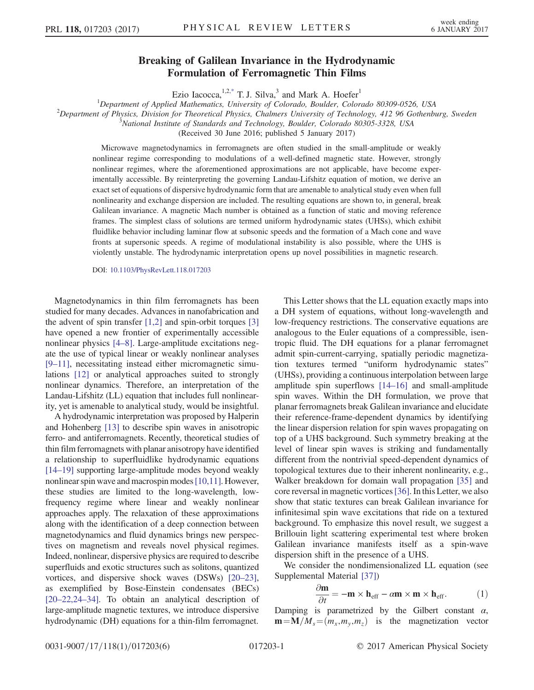## Breaking of Galilean Invariance in the Hydrodynamic Formulation of Ferromagnetic Thin Films

Ezio Iacocca,  $1.2$ , T. J. Silva, and Mark A. Hoefer<sup>1</sup>

<span id="page-0-1"></span><sup>1</sup>Department of Applied Mathematics, University of Colorado, Boulder, Colorado 80309-0526, USA<br><sup>2</sup>Department of Physics, Division for Theoratical Physics, Chalmars University of Technology, 412, 06 Cotherhy

 $^2$ Department of Physics, Division for Theoretical Physics, Chalmers University of Technology, 412 96 Gothenburg, Sweden

(Received 30 June 2016; published 5 January 2017)

Microwave magnetodynamics in ferromagnets are often studied in the small-amplitude or weakly nonlinear regime corresponding to modulations of a well-defined magnetic state. However, strongly nonlinear regimes, where the aforementioned approximations are not applicable, have become experimentally accessible. By reinterpreting the governing Landau-Lifshitz equation of motion, we derive an exact set of equations of dispersive hydrodynamic form that are amenable to analytical study even when full nonlinearity and exchange dispersion are included. The resulting equations are shown to, in general, break Galilean invariance. A magnetic Mach number is obtained as a function of static and moving reference frames. The simplest class of solutions are termed uniform hydrodynamic states (UHSs), which exhibit fluidlike behavior including laminar flow at subsonic speeds and the formation of a Mach cone and wave fronts at supersonic speeds. A regime of modulational instability is also possible, where the UHS is violently unstable. The hydrodynamic interpretation opens up novel possibilities in magnetic research.

DOI: [10.1103/PhysRevLett.118.017203](http://dx.doi.org/10.1103/PhysRevLett.118.017203)

Magnetodynamics in thin film ferromagnets has been studied for many decades. Advances in nanofabrication and the advent of spin transfer [\[1,2\]](#page-4-1) and spin-orbit torques [\[3\]](#page-4-2) have opened a new frontier of experimentally accessible nonlinear physics [4–[8\].](#page-4-3) Large-amplitude excitations negate the use of typical linear or weakly nonlinear analyses [9–[11\],](#page-4-4) necessitating instead either micromagnetic simulations [\[12\]](#page-4-5) or analytical approaches suited to strongly nonlinear dynamics. Therefore, an interpretation of the Landau-Lifshitz (LL) equation that includes full nonlinearity, yet is amenable to analytical study, would be insightful.

A hydrodynamic interpretation was proposed by Halperin and Hohenberg [\[13\]](#page-4-6) to describe spin waves in anisotropic ferro- and antiferromagnets. Recently, theoretical studies of thin film ferromagnets with planar anisotropy have identified a relationship to superfluidlike hydrodynamic equations [14–[19\]](#page-4-7) supporting large-amplitude modes beyond weakly nonlinear spin wave and macrospin modes [\[10,11\]](#page-4-8). However, these studies are limited to the long-wavelength, lowfrequency regime where linear and weakly nonlinear approaches apply. The relaxation of these approximations along with the identification of a deep connection between magnetodynamics and fluid dynamics brings new perspectives on magnetism and reveals novel physical regimes. Indeed, nonlinear, dispersive physics are required to describe superfluids and exotic structures such as solitons, quantized vortices, and dispersive shock waves (DSWs) [\[20](#page-4-9)–23], as exemplified by Bose-Einstein condensates (BECs) [20–[22,24](#page-4-9)–34]. To obtain an analytical description of large-amplitude magnetic textures, we introduce dispersive hydrodynamic (DH) equations for a thin-film ferromagnet.

This Letter shows that the LL equation exactly maps into a DH system of equations, without long-wavelength and low-frequency restrictions. The conservative equations are analogous to the Euler equations of a compressible, isentropic fluid. The DH equations for a planar ferromagnet admit spin-current-carrying, spatially periodic magnetization textures termed "uniform hydrodynamic states" (UHSs), providing a continuous interpolation between large amplitude spin superflows [\[14](#page-4-7)–16] and small-amplitude spin waves. Within the DH formulation, we prove that planar ferromagnets break Galilean invariance and elucidate their reference-frame-dependent dynamics by identifying the linear dispersion relation for spin waves propagating on top of a UHS background. Such symmetry breaking at the level of linear spin waves is striking and fundamentally different from the nontrivial speed-dependent dynamics of topological textures due to their inherent nonlinearity, e.g., Walker breakdown for domain wall propagation [\[35\]](#page-5-0) and core reversal in magnetic vortices[\[36\].](#page-5-1) In this Letter, we also show that static textures can break Galilean invariance for infinitesimal spin wave excitations that ride on a textured background. To emphasize this novel result, we suggest a Brillouin light scattering experimental test where broken Galilean invariance manifests itself as a spin-wave dispersion shift in the presence of a UHS.

<span id="page-0-0"></span>We consider the nondimensionalized LL equation (see Supplemental Material [\[37\]\)](#page-5-2)

$$
\frac{\partial \mathbf{m}}{\partial t} = -\mathbf{m} \times \mathbf{h}_{\text{eff}} - \alpha \mathbf{m} \times \mathbf{m} \times \mathbf{h}_{\text{eff}}.
$$
 (1)

Damping is parametrized by the Gilbert constant  $\alpha$ ,  $\mathbf{m} = \mathbf{M}/M_s = (m_x, m_y, m_z)$  is the magnetization vector

 $^3$ National Institute of Standards and Technology, Boulder, Colorado 80305-3328, USA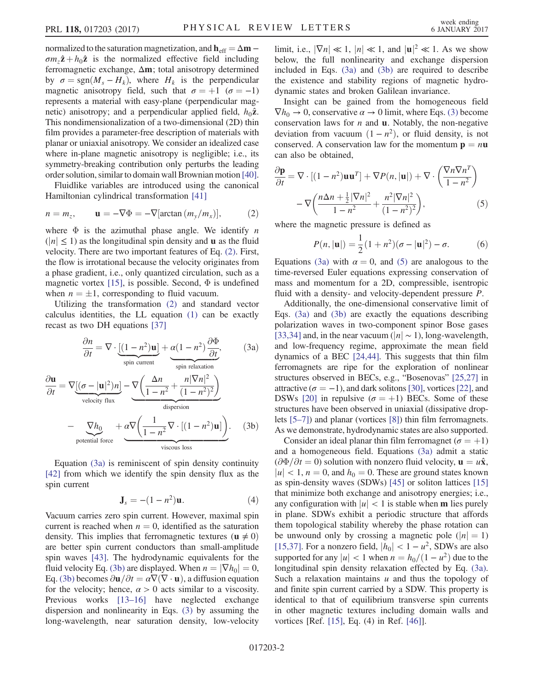normalized to the saturation magnetization, and  $h_{\text{eff}} = \Delta m \sigma m_z \hat{\mathbf{z}} + h_0 \hat{\mathbf{z}}$  is the normalized effective field including ferromagnetic exchange, Δm; total anisotropy determined by  $\sigma = \text{sgn}(M_s - H_k)$ , where  $H_k$  is the perpendicular magnetic anisotropy field, such that  $\sigma = +1$  ( $\sigma = -1$ ) represents a material with easy-plane (perpendicular magnetic) anisotropy; and a perpendicular applied field,  $h_0\hat{z}$ . This nondimensionalization of a two-dimensional (2D) thin film provides a parameter-free description of materials with planar or uniaxial anisotropy. We consider an idealized case where in-plane magnetic anisotropy is negligible; i.e., its symmetry-breaking contribution only perturbs the leading order solution, similar to domain wall Brownian motion [\[40\]](#page-5-3).

<span id="page-1-0"></span>Fluidlike variables are introduced using the canonical Hamiltonian cylindrical transformation [\[41\]](#page-5-4)

$$
n = m_z, \qquad \mathbf{u} = -\nabla \Phi = -\nabla[\arctan(m_y/m_x)], \tag{2}
$$

where  $\Phi$  is the azimuthal phase angle. We identify *n*  $(|n| < 1$ ) as the longitudinal spin density and **u** as the fluid velocity. There are two important features of Eq. [\(2\)](#page-1-0). First, the flow is irrotational because the velocity originates from a phase gradient, i.e., only quantized circulation, such as a magnetic vortex [\[15\],](#page-4-10) is possible. Second,  $\Phi$  is undefined when  $n = \pm 1$ , corresponding to fluid vacuum.

<span id="page-1-1"></span>Utilizing the transformation [\(2\)](#page-1-0) and standard vector calculus identities, the LL equation [\(1\)](#page-0-0) can be exactly recast as two DH equations [\[37\]](#page-5-2)

$$
\frac{\partial n}{\partial t} = \nabla \cdot \underbrace{[(1 - n^2) \mathbf{u}]}_{\text{spin current}} + \underbrace{\alpha (1 - n^2)}_{\text{spin relaxation}} \frac{\partial \Phi}{\partial t}, \tag{3a}
$$

<span id="page-1-2"></span>
$$
\frac{\partial \mathbf{u}}{\partial t} = \nabla \underbrace{[(\sigma - |\mathbf{u}|^2)n]}_{\text{velocity flux}} - \underbrace{\nabla \left(\frac{\Delta n}{1 - n^2} + \frac{n|\nabla n|^2}{(1 - n^2)^2}\right)}_{\text{dispersion}}
$$
\n
$$
-\underbrace{\nabla h_0}_{\text{potential force}} + \underbrace{\alpha \nabla \left(\frac{1}{1 - n^2} \nabla \cdot [(1 - n^2)\mathbf{u}]\right)}_{\text{viscous loss}}.
$$
\n(3b)

Equation [\(3a\)](#page-1-1) is reminiscent of spin density continuity [\[42\]](#page-5-5) from which we identify the spin density flux as the spin current

$$
\mathbf{J}_s = -(1 - n^2)\mathbf{u}.\tag{4}
$$

Vacuum carries zero spin current. However, maximal spin current is reached when  $n = 0$ , identified as the saturation density. This implies that ferromagnetic textures ( $\mathbf{u} \neq 0$ ) are better spin current conductors than small-amplitude spin waves [\[43\]](#page-5-6). The hydrodynamic equivalents for the fluid velocity Eq. [\(3b\)](#page-1-2) are displayed. When  $n = |\nabla h_0| = 0$ , Eq. [\(3b\)](#page-1-2) becomes  $\partial$ **u** $/\partial t = \alpha \nabla (\nabla \cdot \mathbf{u})$ , a diffusion equation for the velocity; hence,  $\alpha > 0$  acts similar to a viscosity. Previous works [\[13](#page-4-6)–16] have neglected exchange dispersion and nonlinearity in Eqs. [\(3\)](#page-1-1) by assuming the long-wavelength, near saturation density, low-velocity

limit, i.e.,  $|\nabla n| \ll 1$ ,  $|n| \ll 1$ , and  $|\mathbf{u}|^2 \ll 1$ . As we show below, the full nonlinearity and exchange dispersion included in Eqs. [\(3a\)](#page-1-1) and [\(3b\)](#page-1-2) are required to describe the existence and stability regions of magnetic hydrodynamic states and broken Galilean invariance.

Insight can be gained from the homogeneous field  $\nabla h_0 \rightarrow 0$ , conservative  $\alpha \rightarrow 0$  limit, where Eqs. [\(3\)](#page-1-1) become conservation laws for  $n$  and  $\bf{u}$ . Notably, the non-negative deviation from vacuum  $(1 - n^2)$ , or fluid density, is not conserved. A conservation law for the momentum  $p = nu$ can also be obtained,

<span id="page-1-3"></span>
$$
\frac{\partial \mathbf{p}}{\partial t} = \nabla \cdot [(1 - n^2) \mathbf{u} \mathbf{u}^T] + \nabla P(n, |\mathbf{u}|) + \nabla \cdot \left(\frac{\nabla n \nabla n^T}{1 - n^2}\right) - \nabla \left(\frac{n \Delta n + \frac{1}{2} |\nabla n|^2}{1 - n^2} + \frac{n^2 |\nabla n|^2}{(1 - n^2)^2}\right),\tag{5}
$$

where the magnetic pressure is defined as

$$
P(n, |\mathbf{u}|) = \frac{1}{2} (1 + n^2)(\sigma - |\mathbf{u}|^2) - \sigma.
$$
 (6)

Equations [\(3a\)](#page-1-1) with  $\alpha = 0$ , and [\(5\)](#page-1-3) are analogous to the time-reversed Euler equations expressing conservation of mass and momentum for a 2D, compressible, isentropic fluid with a density- and velocity-dependent pressure P.

Additionally, the one-dimensional conservative limit of Eqs. [\(3a\)](#page-1-1) and [\(3b\)](#page-1-2) are exactly the equations describing polarization waves in two-component spinor Bose gases [\[33,34\]](#page-5-7) and, in the near vacuum ( $|n| \sim 1$ ), long-wavelength, and low-frequency regime, approximate the mean field dynamics of a BEC [\[24,44\].](#page-5-8) This suggests that thin film ferromagnets are ripe for the exploration of nonlinear structures observed in BECs, e.g., "Bosenovas" [\[25,27\]](#page-5-9) in attractive ( $\sigma = -1$ ), and dark solitons [\[30\]](#page-5-10), vortices [\[22\],](#page-4-11) and DSWs [\[20\]](#page-4-9) in repulsive ( $\sigma = +1$ ) BECs. Some of these structures have been observed in uniaxial (dissipative droplets [\[5](#page-4-12)–7]) and planar (vortices [\[8\]](#page-4-13)) thin film ferromagnets. As we demonstrate, hydrodynamic states are also supported.

Consider an ideal planar thin film ferromagnet ( $\sigma = +1$ ) and a homogeneous field. Equations [\(3a\)](#page-1-1) admit a static  $(\partial \Phi/\partial t = 0)$  solution with nonzero fluid velocity,  $\mathbf{u} = u\hat{\mathbf{x}}$ ,  $|u| < 1$ ,  $n = 0$ , and  $h_0 = 0$ . These are ground states known as spin-density waves (SDWs) [\[45\]](#page-5-11) or soliton lattices [\[15\]](#page-4-10) that minimize both exchange and anisotropy energies; i.e., any configuration with  $|u| < 1$  is stable when **m** lies purely in plane. SDWs exhibit a periodic structure that affords them topological stability whereby the phase rotation can be unwound only by crossing a magnetic pole  $(|n| = 1)$ [\[15,37\]](#page-4-10). For a nonzero field,  $|h_0| < 1 - u^2$ , SDWs are also supported for any  $|u| < 1$  when  $n = h_0/(1 - u^2)$  due to the longitudinal spin density relaxation effected by Eq. [\(3a\)](#page-1-1). Such a relaxation maintains  $u$  and thus the topology of and finite spin current carried by a SDW. This property is identical to that of equilibrium transverse spin currents in other magnetic textures including domain walls and vortices [Ref. [\[15\]](#page-4-10), Eq. (4) in Ref. [\[46\]](#page-5-12)].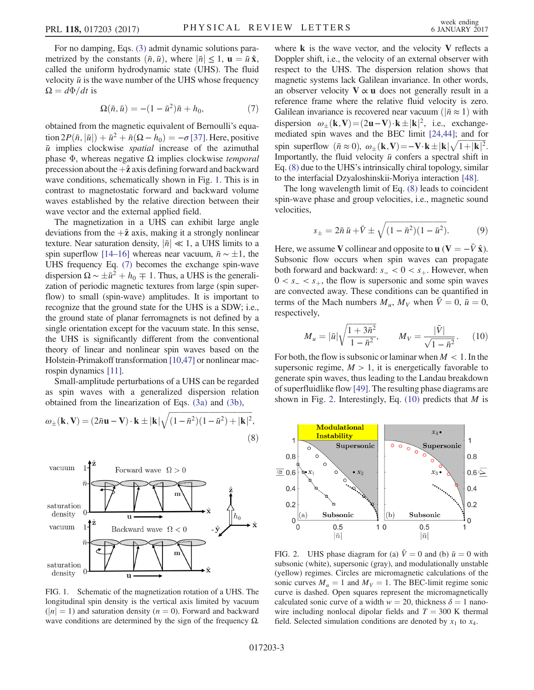<span id="page-2-1"></span>For no damping, Eqs. [\(3\)](#page-1-1) admit dynamic solutions parametrized by the constants  $(\bar{n}, \bar{u})$ , where  $|\bar{n}| \leq 1$ ,  $\mathbf{u} = \bar{u} \hat{\mathbf{x}}$ , called the uniform hydrodynamic state (UHS). The fluid velocity  $\bar{u}$  is the wave number of the UHS whose frequency  $\Omega = d\Phi/dt$  is

$$
\Omega(\bar{n}, \bar{u}) = -(1 - \bar{u}^2)\bar{n} + h_0, \tag{7}
$$

obtained from the magnetic equivalent of Bernoulli's equation  $2P(\bar{n}, |\bar{u}|) + \bar{u}^2 + \bar{n}(\Omega - h_0) = -\sigma$  [\[37\].](#page-5-2) Here, positive  $\bar{u}$  implies clockwise *spatial* increase of the azimuthal phase  $Φ$ , whereas negative Ω implies clockwise *temporal* precession about the  $+\hat{z}$  axis defining forward and backward wave conditions, schematically shown in Fig. [1.](#page-2-0) This is in contrast to magnetostatic forward and backward volume waves established by the relative direction between their wave vector and the external applied field.

The magnetization in a UHS can exhibit large angle deviations from the  $+\hat{z}$  axis, making it a strongly nonlinear texture. Near saturation density,  $|\bar{n}| \ll 1$ , a UHS limits to a spin superflow [\[14](#page-4-7)–16] whereas near vacuum,  $\bar{n} \sim \pm 1$ , the UHS frequency Eq. [\(7\)](#page-2-1) becomes the exchange spin-wave dispersion  $\Omega \sim \pm \bar{u}^2 + h_0 \mp 1$ . Thus, a UHS is the generalization of periodic magnetic textures from large (spin superflow) to small (spin-wave) amplitudes. It is important to recognize that the ground state for the UHS is a SDW; i.e., the ground state of planar ferromagnets is not defined by a single orientation except for the vacuum state. In this sense, the UHS is significantly different from the conventional theory of linear and nonlinear spin waves based on the Holstein-Primakoff transformation [\[10,47\]](#page-4-8) or nonlinear macrospin dynamics [\[11\].](#page-4-14)

<span id="page-2-2"></span>Small-amplitude perturbations of a UHS can be regarded as spin waves with a generalized dispersion relation obtained from the linearization of Eqs. [\(3a\)](#page-1-1) and [\(3b\)](#page-1-2),

$$
\omega_{\pm}(\mathbf{k}, \mathbf{V}) = (2\bar{n}\mathbf{u} - \mathbf{V}) \cdot \mathbf{k} \pm |\mathbf{k}| \sqrt{(1 - \bar{n}^2)(1 - \bar{u}^2) + |\mathbf{k}|^2},\tag{8}
$$

<span id="page-2-0"></span>

FIG. 1. Schematic of the magnetization rotation of a UHS. The longitudinal spin density is the vertical axis limited by vacuum  $(|n| = 1)$  and saturation density  $(n = 0)$ . Forward and backward wave conditions are determined by the sign of the frequency  $\Omega$ .

where  $\bf{k}$  is the wave vector, and the velocity  $\bf{V}$  reflects a Doppler shift, i.e., the velocity of an external observer with respect to the UHS. The dispersion relation shows that magnetic systems lack Galilean invariance. In other words, an observer velocity  $V \propto u$  does not generally result in a reference frame where the relative fluid velocity is zero. Galilean invariance is recovered near vacuum ( $|\bar{n} \approx 1\rangle$ ) with dispersion  $\omega_{\pm}(\mathbf{k}, \mathbf{V}) = (2\mathbf{u} - \mathbf{V}) \cdot \mathbf{k} \pm |\mathbf{k}|^2$ , i.e., exchangemediated spin waves and the BEC limit [\[24,44\];](#page-5-8) and for spin superflow  $(\bar{n} \approx 0), \omega_{\pm}(\mathbf{k}, \mathbf{V}) = -\mathbf{V} \cdot \mathbf{k} \pm |\mathbf{k}| \sqrt{1+|\mathbf{k}|^2}$ . Importantly, the fluid velocity  $\bar{u}$  confers a spectral shift in Eq. [\(8\)](#page-2-2) due to the UHS's intrinsically chiral topology, similar to the interfacial Dzyaloshinskii-Moriya interaction [\[48\].](#page-5-13)

<span id="page-2-5"></span>The long wavelength limit of Eq. [\(8\)](#page-2-2) leads to coincident spin-wave phase and group velocities, i.e., magnetic sound velocities,

$$
s_{\pm} = 2\bar{n}\,\bar{u} + \bar{V} \pm \sqrt{(1 - \bar{n}^2)(1 - \bar{u}^2)}.
$$
 (9)

Here, we assume V collinear and opposite to  $\mathbf{u}$  (V =  $-\bar{V}\hat{\mathbf{x}}$ ). Subsonic flow occurs when spin waves can propagate both forward and backward:  $s_ - < 0 < s_ +$ . However, when  $0 < s<sub>-</sub> < s<sub>+</sub>$ , the flow is supersonic and some spin waves are convected away. These conditions can be quantified in terms of the Mach numbers  $M_{\mu}$ ,  $M_{V}$  when  $\bar{V}=0$ ,  $\bar{u}=0$ , respectively,

<span id="page-2-4"></span>
$$
M_{u} = |\bar{u}| \sqrt{\frac{1 + 3\bar{n}^{2}}{1 - \bar{n}^{2}}}, \qquad M_{V} = \frac{|\bar{V}|}{\sqrt{1 - \bar{n}^{2}}}.
$$
 (10)

For both, the flow is subsonic or laminar when  $M < 1$ . In the supersonic regime,  $M > 1$ , it is energetically favorable to generate spin waves, thus leading to the Landau breakdown of superfluidlike flow [\[49\]](#page-5-14). The resulting phase diagrams are shown in Fig. [2](#page-2-3). Interestingly, Eq.  $(10)$  predicts that M is

<span id="page-2-3"></span>

FIG. 2. UHS phase diagram for (a)  $\overline{V}=0$  and (b)  $\overline{u}=0$  with subsonic (white), supersonic (gray), and modulationally unstable (yellow) regimes. Circles are micromagnetic calculations of the sonic curves  $M_u = 1$  and  $M_v = 1$ . The BEC-limit regime sonic curve is dashed. Open squares represent the micromagnetically calculated sonic curve of a width  $w = 20$ , thickness  $\delta = 1$  nanowire including nonlocal dipolar fields and  $T = 300$  K thermal field. Selected simulation conditions are denoted by  $x_1$  to  $x_4$ .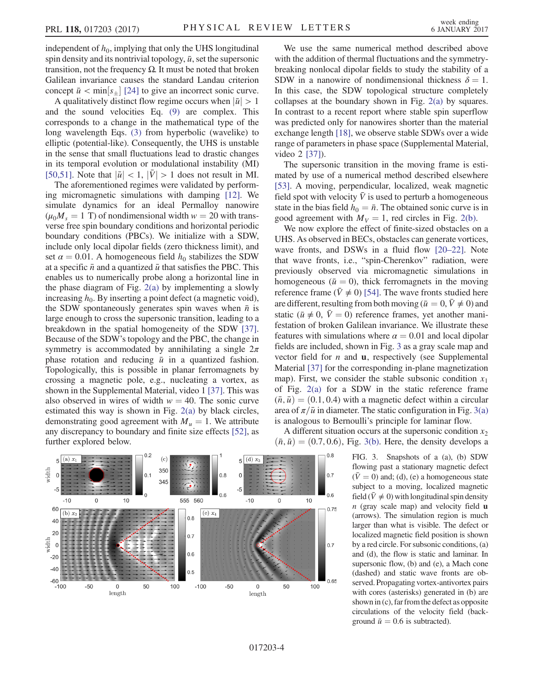independent of  $h_0$ , implying that only the UHS longitudinal spin density and its nontrivial topology,  $\bar{u}$ , set the supersonic transition, not the frequency Ω. It must be noted that broken Galilean invariance causes the standard Landau criterion concept  $\bar{u} < \min[s_{\pm}]$  [\[24\]](#page-5-8) to give an incorrect sonic curve.

A qualitatively distinct flow regime occurs when  $|\bar{u}| > 1$ and the sound velocities Eq. [\(9\)](#page-2-5) are complex. This corresponds to a change in the mathematical type of the long wavelength Eqs. [\(3\)](#page-1-1) from hyperbolic (wavelike) to elliptic (potential-like). Consequently, the UHS is unstable in the sense that small fluctuations lead to drastic changes in its temporal evolution or modulational instability (MI) [\[50,51\]](#page-5-15). Note that  $|\bar{u}| < 1$ ,  $|\bar{V}| > 1$  does not result in MI.

The aforementioned regimes were validated by performing micromagnetic simulations with damping [\[12\]](#page-4-5). We simulate dynamics for an ideal Permalloy nanowire  $(\mu_0 M_s = 1 \text{ T})$  of nondimensional width  $w = 20$  with transverse free spin boundary conditions and horizontal periodic boundary conditions (PBCs). We initialize with a SDW, include only local dipolar fields (zero thickness limit), and set  $\alpha = 0.01$ . A homogeneous field  $h_0$  stabilizes the SDW at a specific  $\bar{n}$  and a quantized  $\bar{u}$  that satisfies the PBC. This enables us to numerically probe along a horizontal line in the phase diagram of Fig. [2\(a\)](#page-2-3) by implementing a slowly increasing  $h_0$ . By inserting a point defect (a magnetic void), the SDW spontaneously generates spin waves when  $\bar{n}$  is large enough to cross the supersonic transition, leading to a breakdown in the spatial homogeneity of the SDW [\[37\]](#page-5-2). Because of the SDW's topology and the PBC, the change in symmetry is accommodated by annihilating a single  $2\pi$ phase rotation and reducing  $\bar{u}$  in a quantized fashion. Topologically, this is possible in planar ferromagnets by crossing a magnetic pole, e.g., nucleating a vortex, as shown in the Supplemental Material, video 1 [\[37\]](#page-5-2). This was also observed in wires of width  $w = 40$ . The sonic curve estimated this way is shown in Fig. [2\(a\)](#page-2-3) by black circles, demonstrating good agreement with  $M_u = 1$ . We attribute any discrepancy to boundary and finite size effects [\[52\]](#page-5-16), as further explored below.

<span id="page-3-0"></span> $0.2$  $0.8$  $5(x)$  $(c)$  $(d)$   $x_3$ 5 350 vidth  $0<sub>1</sub>$ 0 R  $\Omega$  $0.7$  $\Omega$ 345  $-5$  $-5$  $0.6$  $0.6$ 560  $-10$  $10$  $-10$  $10$ 555  $\Omega$  $\Omega$ 60 0.75  $(b) x_2$  $(e)$   $x_4$  $0.8$ 40 20  $0.7$ width  $\,0\,$  $0.7$  $0.6$  $-20$  $-40$  $0.5$  $-60$  – 100 0.65  $-50$ 50 100  $-100$  $-50$  $\mathsf 0$ 50 100  $\operatorname{length}$ length

We use the same numerical method described above with the addition of thermal fluctuations and the symmetrybreaking nonlocal dipolar fields to study the stability of a SDW in a nanowire of nondimensional thickness  $\delta = 1$ . In this case, the SDW topological structure completely collapses at the boundary shown in Fig. [2\(a\)](#page-2-3) by squares. In contrast to a recent report where stable spin superflow was predicted only for nanowires shorter than the material exchange length [\[18\]](#page-4-15), we observe stable SDWs over a wide range of parameters in phase space (Supplemental Material, video 2 [\[37\]\)](#page-5-2).

The supersonic transition in the moving frame is estimated by use of a numerical method described elsewhere [\[53\]](#page-5-17). A moving, perpendicular, localized, weak magnetic field spot with velocity  $\bar{V}$  is used to perturb a homogeneous state in the bias field  $h_0 = \bar{n}$ . The obtained sonic curve is in good agreement with  $M_V = 1$ , red circles in Fig. [2\(b\).](#page-2-3)

We now explore the effect of finite-sized obstacles on a UHS. As observed in BECs, obstacles can generate vortices, wave fronts, and DSWs in a fluid flow [20–[22\].](#page-4-9) Note that wave fronts, i.e., "spin-Cherenkov" radiation, were previously observed via micromagnetic simulations in homogeneous ( $\bar{u} = 0$ ), thick ferromagnets in the moving reference frame ( $\bar{V} \neq 0$ ) [\[54\].](#page-5-18) The wave fronts studied here are different, resulting from both moving ( $\bar{u}=0, \bar{V}\neq 0$ ) and static ( $\bar{u} \neq 0$ ,  $\bar{V} = 0$ ) reference frames, yet another manifestation of broken Galilean invariance. We illustrate these features with simulations where  $\alpha = 0.01$  and local dipolar fields are included, shown in Fig. [3](#page-3-0) as a gray scale map and vector field for  $n$  and  $\bf{u}$ , respectively (see Supplemental Material [\[37\]](#page-5-2) for the corresponding in-plane magnetization map). First, we consider the stable subsonic condition  $x_1$ of Fig. [2\(a\)](#page-2-3) for a SDW in the static reference frame  $(\bar{n}, \bar{u}) = (0.1, 0.4)$  with a magnetic defect within a circular area of  $\pi/\bar{u}$  in diameter. The static configuration in Fig. [3\(a\)](#page-3-0) is analogous to Bernoulli's principle for laminar flow.

A different situation occurs at the supersonic condition  $x_2$  $(\bar{n}, \bar{u}) = (0.7, 0.6),$  Fig. [3\(b\).](#page-3-0) Here, the density develops a

> FIG. 3. Snapshots of a (a), (b) SDW flowing past a stationary magnetic defect  $(\bar{V}=0)$  and; (d), (e) a homogeneous state subject to a moving, localized magnetic field ( $\bar{V} \neq 0$ ) with longitudinal spin density  $n$  (gray scale map) and velocity field  $\bf{u}$ (arrows). The simulation region is much larger than what is visible. The defect or localized magnetic field position is shown by a red circle. For subsonic conditions, (a) and (d), the flow is static and laminar. In supersonic flow, (b) and (e), a Mach cone (dashed) and static wave fronts are observed. Propagating vortex-antivortex pairs with cores (asterisks) generated in (b) are shown in (c), far from the defect as opposite circulations of the velocity field (background  $\bar{u} = 0.6$  is subtracted).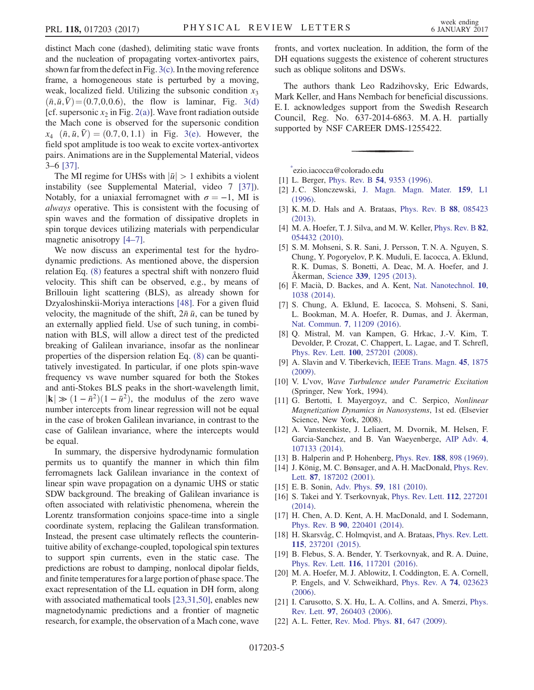distinct Mach cone (dashed), delimiting static wave fronts and the nucleation of propagating vortex-antivortex pairs, shown far from the defect in Fig.  $3(c)$ . In the moving reference frame, a homogeneous state is perturbed by a moving, weak, localized field. Utilizing the subsonic condition  $x_3$  $(\bar{n}, \bar{u}, \bar{V}) = (0.7, 0, 0.6)$ , the flow is laminar, Fig. [3\(d\)](#page-3-0) [cf. supersonic  $x_2$  in Fig. [2\(a\)\]](#page-2-3). Wave front radiation outside the Mach cone is observed for the supersonic condition  $x_4$   $(\bar{n}, \bar{u}, \bar{V}) = (0.7, 0, 1.1)$  in Fig. [3\(e\)](#page-3-0). However, the field spot amplitude is too weak to excite vortex-antivortex pairs. Animations are in the Supplemental Material, videos 3–6 [\[37\]](#page-5-2).

The MI regime for UHSs with  $|\bar{u}| > 1$  exhibits a violent instability (see Supplemental Material, video 7 [\[37\]](#page-5-2)). Notably, for a uniaxial ferromagnet with  $\sigma = -1$ , MI is always operative. This is consistent with the focusing of spin waves and the formation of dissipative droplets in spin torque devices utilizing materials with perpendicular magnetic anisotropy [4–[7\].](#page-4-3)

We now discuss an experimental test for the hydrodynamic predictions. As mentioned above, the dispersion relation Eq. [\(8\)](#page-2-2) features a spectral shift with nonzero fluid velocity. This shift can be observed, e.g., by means of Brillouin light scattering (BLS), as already shown for Dzyaloshinskii-Moriya interactions [\[48\]](#page-5-13). For a given fluid velocity, the magnitude of the shift,  $2\bar{n} \bar{u}$ , can be tuned by an externally applied field. Use of such tuning, in combination with BLS, will allow a direct test of the predicted breaking of Galilean invariance, insofar as the nonlinear properties of the dispersion relation Eq. [\(8\)](#page-2-2) can be quantitatively investigated. In particular, if one plots spin-wave frequency vs wave number squared for both the Stokes and anti-Stokes BLS peaks in the short-wavelength limit,  $|\mathbf{k}| \gg (1 - \bar{n}^2)(1 - \bar{u}^2)$ , the modulus of the zero wave number intercepts from linear regression will not be equal in the case of broken Galilean invariance, in contrast to the case of Galilean invariance, where the intercepts would be equal.

In summary, the dispersive hydrodynamic formulation permits us to quantify the manner in which thin film ferromagnets lack Galilean invariance in the context of linear spin wave propagation on a dynamic UHS or static SDW background. The breaking of Galilean invariance is often associated with relativistic phenomena, wherein the Lorentz transformation conjoins space-time into a single coordinate system, replacing the Galilean transformation. Instead, the present case ultimately reflects the counterintuitive ability of exchange-coupled, topological spin textures to support spin currents, even in the static case. The predictions are robust to damping, nonlocal dipolar fields, and finite temperatures for a large portion of phase space. The exact representation of the LL equation in DH form, along with associated mathematical tools [\[23,31,50\]](#page-5-19), enables new magnetodynamic predictions and a frontier of magnetic research, for example, the observation of a Mach cone, wave

fronts, and vortex nucleation. In addition, the form of the DH equations suggests the existence of coherent structures such as oblique solitons and DSWs.

The authors thank Leo Radzihovsky, Eric Edwards, Mark Keller, and Hans Nembach for beneficial discussions. E. I. acknowledges support from the Swedish Research Council, Reg. No. 637-2014-6863. M. A. H. partially supported by NSF CAREER DMS-1255422.

<span id="page-4-0"></span>[\\*](#page-0-1) ezio.iacocca@colorado.edu

- <span id="page-4-1"></span>[1] L. Berger, Phys. Rev. B **54**[, 9353 \(1996\).](http://dx.doi.org/10.1103/PhysRevB.54.9353)
- <span id="page-4-2"></span>[2] J. C. Slonczewski, [J. Magn. Magn. Mater.](http://dx.doi.org/10.1016/0304-8853(96)00062-5) 159, L1 [\(1996\).](http://dx.doi.org/10.1016/0304-8853(96)00062-5)
- <span id="page-4-3"></span>[3] K. M. D. Hals and A. Brataas, [Phys. Rev. B](http://dx.doi.org/10.1103/PhysRevB.88.085423) 88, 085423 [\(2013\).](http://dx.doi.org/10.1103/PhysRevB.88.085423)
- <span id="page-4-12"></span>[4] M. A. Hoefer, T. J. Silva, and M. W. Keller, *[Phys. Rev. B](http://dx.doi.org/10.1103/PhysRevB.82.054432)* 82, [054432 \(2010\).](http://dx.doi.org/10.1103/PhysRevB.82.054432)
- [5] S. M. Mohseni, S. R. Sani, J. Persson, T. N. A. Nguyen, S. Chung, Y. Pogoryelov, P. K. Muduli, E. Iacocca, A. Eklund, R. K. Dumas, S. Bonetti, A. Deac, M. A. Hoefer, and J. Åkerman, Science 339[, 1295 \(2013\).](http://dx.doi.org/10.1126/science.1230155)
- [6] F. Macià, D. Backes, and A. Kent, [Nat. Nanotechnol.](http://dx.doi.org/10.1038/nnano.2014.255) 10, [1038 \(2014\)](http://dx.doi.org/10.1038/nnano.2014.255).
- [7] S. Chung, A. Eklund, E. Iacocca, S. Mohseni, S. Sani, L. Bookman, M. A. Hoefer, R. Dumas, and J. Åkerman, Nat. Commun. 7[, 11209 \(2016\).](http://dx.doi.org/10.1038/ncomms11209)
- <span id="page-4-13"></span>[8] Q. Mistral, M. van Kampen, G. Hrkac, J.-V. Kim, T. Devolder, P. Crozat, C. Chappert, L. Lagae, and T. Schrefl, Phys. Rev. Lett. 100[, 257201 \(2008\).](http://dx.doi.org/10.1103/PhysRevLett.100.257201)
- <span id="page-4-8"></span><span id="page-4-4"></span>[9] A. Slavin and V. Tiberkevich, [IEEE Trans. Magn.](http://dx.doi.org/10.1109/TMAG.2008.2009935) 45, 1875 [\(2009\).](http://dx.doi.org/10.1109/TMAG.2008.2009935)
- <span id="page-4-14"></span>[10] V. L'vov, Wave Turbulence under Parametric Excitation (Springer, New York, 1994).
- [11] G. Bertotti, I. Mayergoyz, and C. Serpico, Nonlinear Magnetization Dynamics in Nanosystems, 1st ed. (Elsevier Science, New York, 2008).
- <span id="page-4-5"></span>[12] A. Vansteenkiste, J. Leliaert, M. Dvornik, M. Helsen, F. Garcia-Sanchez, and B. Van Waeyenberge, [AIP Adv.](http://dx.doi.org/10.1063/1.4899186) 4, [107133 \(2014\).](http://dx.doi.org/10.1063/1.4899186)
- <span id="page-4-7"></span><span id="page-4-6"></span>[13] B. Halperin and P. Hohenberg, Phys. Rev. 188[, 898 \(1969\).](http://dx.doi.org/10.1103/PhysRev.188.898)
- <span id="page-4-10"></span>[14] J. König, M. C. Bønsager, and A. H. MacDonald, [Phys. Rev.](http://dx.doi.org/10.1103/PhysRevLett.87.187202) Lett. 87[, 187202 \(2001\).](http://dx.doi.org/10.1103/PhysRevLett.87.187202)
- [15] E. B. Sonin, Adv. Phys. **59**[, 181 \(2010\)](http://dx.doi.org/10.1080/00018731003739943).
- [16] S. Takei and Y. Tserkovnyak, [Phys. Rev. Lett.](http://dx.doi.org/10.1103/PhysRevLett.112.227201) **112**, 227201 [\(2014\).](http://dx.doi.org/10.1103/PhysRevLett.112.227201)
- <span id="page-4-15"></span>[17] H. Chen, A. D. Kent, A. H. MacDonald, and I. Sodemann, Phys. Rev. B 90[, 220401 \(2014\).](http://dx.doi.org/10.1103/PhysRevB.90.220401)
- [18] H. Skarsvåg, C. Holmqvist, and A. Brataas, [Phys. Rev. Lett.](http://dx.doi.org/10.1103/PhysRevLett.115.237201) 115[, 237201 \(2015\).](http://dx.doi.org/10.1103/PhysRevLett.115.237201)
- <span id="page-4-9"></span>[19] B. Flebus, S. A. Bender, Y. Tserkovnyak, and R. A. Duine, Phys. Rev. Lett. 116[, 117201 \(2016\).](http://dx.doi.org/10.1103/PhysRevLett.116.117201)
- [20] M. A. Hoefer, M. J. Ablowitz, I. Coddington, E. A. Cornell, P. Engels, and V. Schweikhard, [Phys. Rev. A](http://dx.doi.org/10.1103/PhysRevA.74.023623) 74, 023623 [\(2006\).](http://dx.doi.org/10.1103/PhysRevA.74.023623)
- <span id="page-4-11"></span>[21] I. Carusotto, S. X. Hu, L. A. Collins, and A. Smerzi, [Phys.](http://dx.doi.org/10.1103/PhysRevLett.97.260403) Rev. Lett. 97[, 260403 \(2006\).](http://dx.doi.org/10.1103/PhysRevLett.97.260403)
- [22] A. L. Fetter, [Rev. Mod. Phys.](http://dx.doi.org/10.1103/RevModPhys.81.647) **81**, 647 (2009).